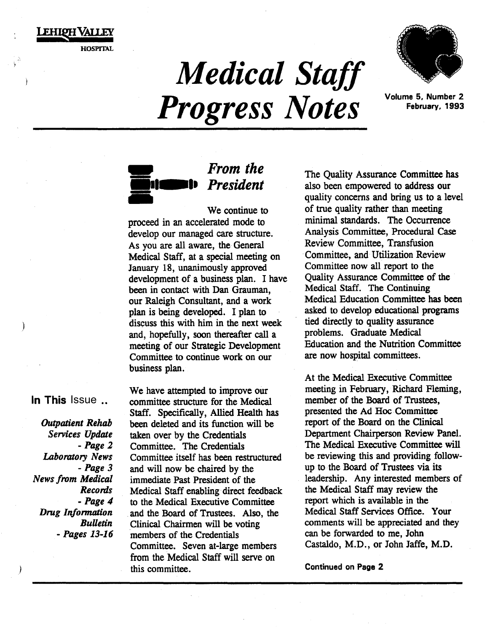FHIOH VALLEY HOSPITAL

> *Medical Staff Progress Notes* Volume 5, Number 2



February, 1993



# *From the President*

We continue to proceed in an accelerated mode to develop our managed care structure. As you are all aware, the General Medical Staff, at a special meeting on January 18, unanimously approved development of a business plan. I have been in contact with Dan Grauman, our Raleigh Consultant, and a work plan is being developed. I plan to discuss this with him in the next week and, hopefully, soon thereafter call a meeting of our Strategic Development Committee to continue work on our business plan.

m

In This Issue ...

*Outpatient Rehab Services Update -Page 2 Laboratory News -Page 3 News from Medical Records -Page 4 Drug Infomuztion BuUetin -Pages 13-16* 

*)* 

 $\mathbf{1}$ 

We have attempted to improve our committee structure for the Medical Staff. Specifically, Allied Health has been deleted and its function will be taken over by the Credentials Committee. The Credentials Committee itself has been restructured and will now be chaired by the immediate Past President of the Medical Staff enabling· direct feedback to the Medical Executive Committee and the Board of Trustees. Also, the Clinical Chairmen will be voting members of the Credentials Committee. Seven at-large members from the Medical Staff will serve on this committee.

The Quality Assurance Committee has also been empowered to address our quality concerns and bring us to a level of true quality rather than meeting minimal standards. The Occurrence Analysis Committee, Procedural Case Review Committee, Transfusion Committee, and Utilization Review Committee now all report to the Quality Assurance Committee of the Medical Staff. The Continuing Medical Education Committee has been asked to develop educational programs tied directly to quality assurance problems. Graduate Medical Education and the Nutrition Committee are now hospital committees.

At the Medical Executive Committee meeting in February, Richard Fleming, member of the Board of Trustees, presented the Ad Hoc Committee report of the Board on the Clinical Department Chairperson Review Panel. The Medical Executive Committee will be reviewing this and providing followup to the Board of Trustees via its leadership. Any interested members of the Medical Staff may review the report which is available in the Medical Staff Services Office. Your comments will be appreciated and they can be forwarded to me, John Castaldo, M.D., or John Jaffe, M.D.

Continued on Page 2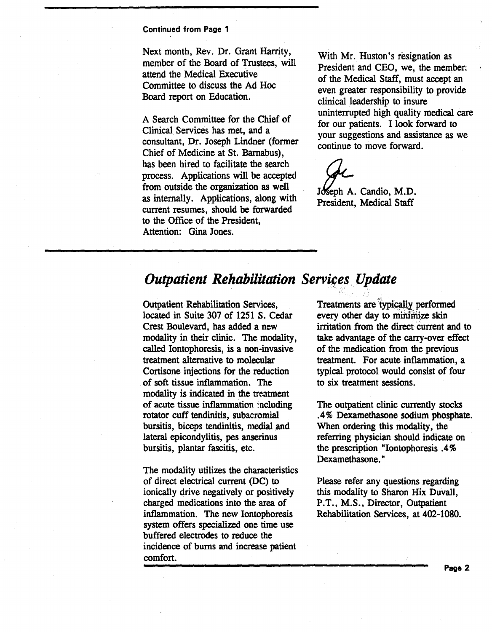Next month, Rev. Dr. Grant Harrity, member of the Board of Trustees, will attend the Medical Executive Committee to discuss the Ad Hoc Board report on Education.

A Search Committee for the Chief of Clinical. Services has met, and a consultant, Dr. Joseph Lindner (former Chief of Medicine at St. Barnabus), has been hired to facilitate the search process. Applications will be accepted from outside the organization as well as internally. Applications, along with current resumes, should be forwarded to the Office of the President, Attention: Gina Jones.

With Mr. Huston's resignation as President and CEO, we, the member: of the Medical Staff, must accept an even greater responsibility to provide clinical leadership to insure uninterrupted high quality medical care for our patients. I look forward to your suggestions and assistance as we continue to move forward.

Joseph A. Candio, M.D. President, Medical Staff

## *Outpatient Rehabilitation Services Update*

Outpatient Rehabilitation Services, located in Suite 307 of 1251 S. Cedar Crest Boulevard, has added a new modality in their clinic. The modality, called Iontophoresis, is a non-invasive treatment alternative to molecular Cortisone injections for the reduction of soft tissue inflammation. The modality is indicated in the treatment of acute tissue inflammation :ncluding rotator cuff tendinitis, subacromial bursitis, biceps tendinitis, medial and lateral epicondylitis, pes anserinus bursitis, plantar fascitis, etc.

The modality utilizes the characteristics of direct electrical current (DC) to ionically drive negatively or positively charged medications into the area of inflammation. The new Iontophoresis system offers specialized one time use buffered electrodes to reduce the incidence of bums and increase patient comfort.

Treatments are 'typically performed every other day to minimize skin irritation from the direct current and to take advantage of the carry-over effect of the medication from the previous treatment. For acute inflammation, a typical protocol would consist of four to six treatment sessions.

The outpatient clinic currently stocks .4% Dexamethasone sodium phosphate. When ordering this modality, the referring physician should indicate on the prescription "Iontophoresis .4% Dexamethasone."

Please refer any questions regarding this modality to Sharon Hix Duvall, P.T., M.S., Director, Outpatient Rehabilitation Services, at 402-1080.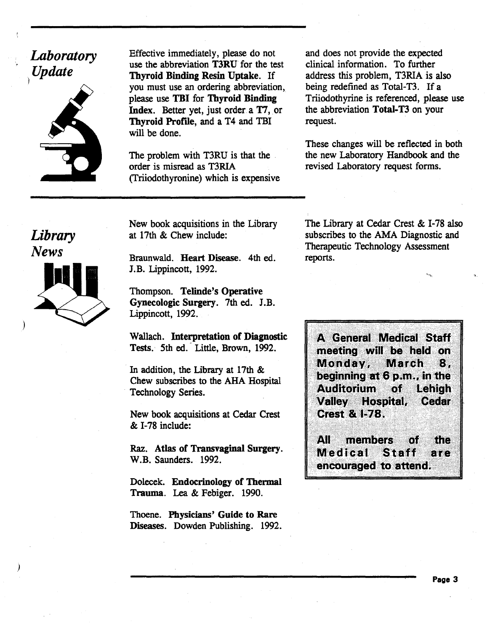# *Laboratory Update*



Effective immediately, please do not use the abbreviation T3RU for the test Thyroid Binding Resin Uptake. If you must use an ordering abbreviation, please use TBI for Thyroid Binding Index. Better yet, just order a 17, or Thyroid Profile, and a T4 and TBI will be done.

The problem with T3RU is that the order is misread as T3RIA (Triiodothyronine) which is expensive

and does not provide the expected clinical information. To further address this problem, T3RIA is also being redefined as Total-T3. If a Triiodothyrine is referenced, please use the abbreviation Total-T3 on your request.

These changes will be reflected in both the new Laboratory Handbook and the revised Laboratory request forms.

*Library News* 

)

)

New book acquisitions in the Library at 17th & Chew include:

Braunwald. Heart Disease. 4th ed. J.B. Lippincott, 1992.

Thompson. Telinde's Operative Gynecologic Surgery. 7th ed. J.B. Lippincott, 1992.

Wallach. Interpretation of Diagnostic Tests. 5th ed. Little, Brown, 1992.

In addition, the Library at 17th & Chew subscribes to the AHA Hospital Technology Series.

New book acquisitions at Cedar Crest & 1-78 include:

Raz. Atlas of Transvaginal Surgery. W.B. Saunders. 1992.

Dolecek. Endocrinology of Thermal Trauma. Lea & Febiger. 1990.

Thoene. Physicians' Guide to Rare Diseases. Dowden Publishing. 1992.

The Library at Cedar Crest & 1-78 also subscribes to the AMA Diagnostic and Therapeutic Technology Assessment reports.

A General Medical Staff meeting will be held on Monday, METOR 8: 洲 beginning at 6 p.m., in the Authorium 878 Leanga Valley Hospital, Cedar Qastra B/S.

ZШ menners กลา ការ Metheal 8331 20 R C encouraged to attend.

Page 3

"·.... '1-.•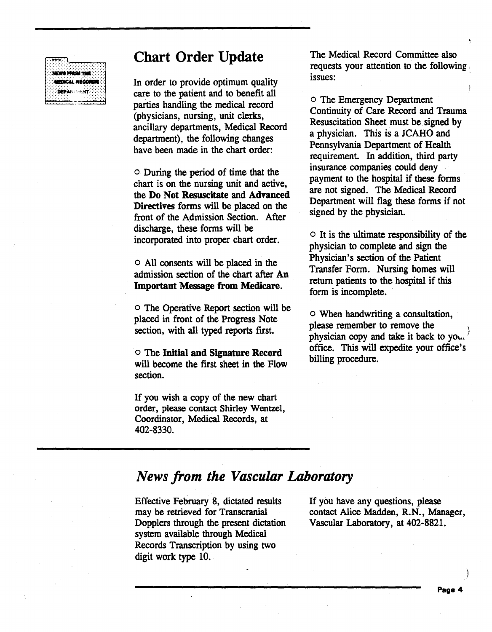## Chart Order Update



In order to provide optimum quality care to the patient and to benefit all parties handling the medical. record (physicians, nursing, unit clerks, ancillary departments, Medical Record department), the following changes have been made in the chart order:

o During the period of time that the chart is on the nursing unit and active, the Do Not Resuscitate and Advanced Directives forms will be placed on the front of the Admission Section. After discharge, these forms will be incorporated into proper chart order.

o All consents will be placed in the admission section of the chart after An Important Message from Medicare.

o The Operative Report section will be placed in front of the Progress Note section, with all typed reports first.

o The Initial and Signature Record will become the first sheet in the Flow section.

If you wish a copy of the new chart order, please contact Shirley Wentzel, Coordinator, Medical Records, at 402-8330.

The Medical Record Committee also requests your attention to the following issues:

o The Emergency Department Continuity of Care Record and Trauma Resuscitation Sheet must be signed by a physician. This is a JCAHO and Pennsylvania Department of Health requirement. In addition, third party insurance companies could deny payment to the hospital if these forms are not signed. The Medical Record Department will flag these forms if not signed by the physician.

o It is the ultimate responsibility of the physician to complete and sign the Physician's section of the Patient Transfer Form. Nursing homes will return patients to the hospital if this form is incomplete.

o When handwriting a consultation, please remember to remove the physician copy and take it back to you. office. This will expedite your office's billing procedure.

## *News from the Vascular Laboratory*

Effective February 8, dictated results may be retrieved for Transcranial Dopplers through the present dictation system available through Medical Records Transcription by using two digit work type 10.

If you have any questions, please contact Alice Madden, R.N., Manager, Vascular Laboratory, at 402-8821.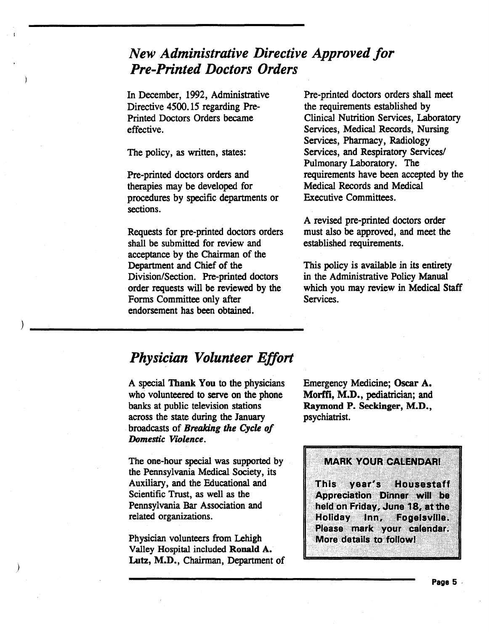## *New Administrative Directive Approved for Pre-Printed Doctors Orders*

In December, 1992, Administrative Directive 4500.15 regarding Pre-Printed Doctors Orders became effective.

The policy, as written, states:

Pre-printed doctors orders and therapies may be developed for procedures by specific departments or sections.

Requests for pre-printed doctors orders shall be submitted for review and acceptance by the Chairman of the Department and Chief of the Division/Section. Pre-printed doctors order requests will be reviewed by the Forms Committee only after endorsement has been obtained.

)

Pre-printed doctors orders shall meet the requirements established by Clinical Nutrition Services, Laboratory Services, Medical Records, Nursing Services, Pharmacy, Radiology Services, and Respiratory Services/ Pulmonary Laboratory. The requirements have been accepted by the Medical Records and Medical Executive Committees.

A revised pre-printed doctors order must also be approved, and meet the established requirements.

This policy is available in its entirety in the Administrative Policy Manual which you may review in Medical Staff Services.

## *Physician Volunteer Effort*

A special Thank You to the physicians who volunteered to serve on the phone banks at public television stations across the state during the January broadcasts of *Breaking the Cycle of Domestic Violence.* 

The one-hour special was supported by the Pennsylvania Medical Society, its Auxiliary, and the Educational and Scientific Trust, as well as the Pennsylvania Bar Association and related organizations.

Physician volunteers from Lehigh Valley Hospital included Ronald A. Lutz, M.D., Chairman, Department of

Emergency Medicine; Oscar A. Morffi, M.D., pediatrician; and Raymond P. Seckinger, M.D., psychiatrist.

MARK YOUR CALENDARI ............... ···,·.·,·:-· **This Ventis** E AMERICA I Appreciation Dinner will be<br>held on Friday, June 18, at the<br>Hollday Inn, Fogelsville.<br>Please mark your calendar.<br>More details to followl

'.,::

. ·.· .... ·.····,•·,·,·.·.·.·.·.·.· ·····:;.·-·.·.· :·:::::::::~;:::-:·.·.-:-;.· ...... ·. ·:; :;.::;:;:::··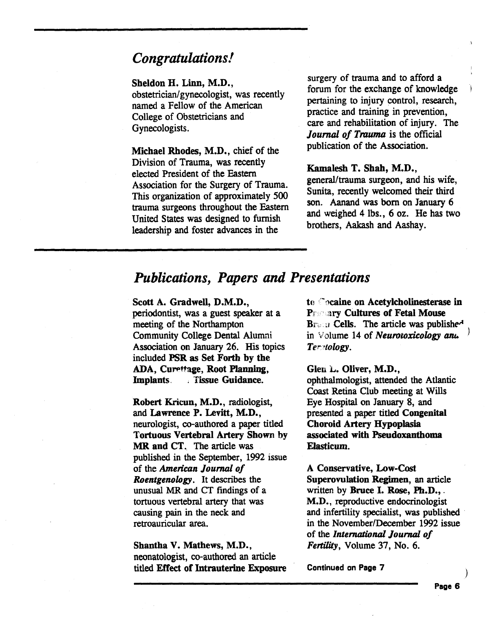## *Congratulations!*

#### Sheldon H. Linn, M.D.,

obstetrician/gynecologist, was recently named a Fellow of the American College of Obstetricians and Gynecologists.

Michael Rhodes, M.D., chief of the Division of Trauma, was recently elected President of the Eastern Association for the Surgery of Trauma. This organization of approximately 500 trauma surgeons throughout the Eastern United States was designed to furnish leadership and foster advances in the

surgery of trauma and to afford a forum for the exchange of knowledge pertaining to injury control, research, practice and training in prevention, care and rehabilitation of injury. The *Journal of Trauma* is the official publication of the Association.

#### Kamalesh T. Shah, M.D.,

general/trauma surgeon, and his wife, Sunita, recently welcomed their third son. Aanand was born on January 6 and weighed 4lbs., 6 oz. He has two brothers, Aakash and Aashay.

## *Publications, Papers and Presentations*

Scott A. Gradwell, D.M.D., periodontist, was a guest speaker at a meeting of the Northampton Community College Dental Alumni Association on January 26. His topics included PSR as Set Forth by the ADA, Curettage, Root Planning, Implants. *incre*. Tissue Guidance.

Robert Kricun, M.D., radiologist, and Lawrence P. Levitt, M.D., neurologist, co-authored a paper titled Tortuous Vertebral Artery Shown by MR and CT. The article was published in the September, 1992 issue of the *American Journal of Roentgenology.* It describes the unusual MR and CT findings of a tortuous vertebral artery that was causing pain in the neck and retroauricular area.

Shantha V. Mathews, M.D., neonatologist, co-authored an article titled Effect of Intrauterine Exposure to Cocaine on Acetylcholinesterase in Pr ary Cultures of Fetal Mouse  $B_{T}$ ,  $B_{T}$  Cells. The article was publishe<sup>-1</sup> in Volume 14 of *Neurotoxicology ant.* ) *Ter•tology.* 

Glen L. Oliver, M.D.,

ophthalmologist, attended the Atlantic Coast Retina Club meeting at Wills Eye Hospital on January 8, and presented a paper titled Congenital Choroid Artery Hypoplasia associated with Pseudoxanthoma Elasticum.

A Conservative, Low-Cost Superovulation Regimen, an article written by Bruce I. Rose, Ph.D., . M.D., reproductive endocrinologist and infertility specialist, was published in the November/December 1992 issue of the *International Jounuil of*  Fertility, Volume 37, No. 6.

Continued on Page 7

)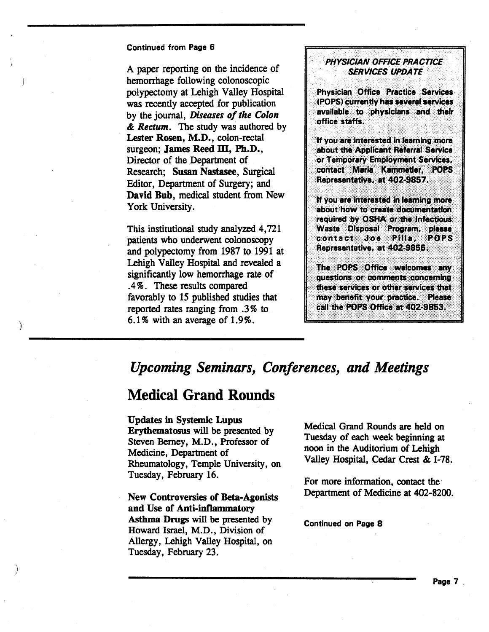A paper reporting on the incidence of hemorrhage following colonoscopic polypectomy at Lehigh Valley Hospital was recently accepted for publication by the journal, *Diseases of the Colon*  & *Rectum.* The study was authored by Lester Rosen, M.D., colon-rectal surgeon; James Reed  $III$ , Ph.D., Director of the Department of Research; Susan Nastasee, Surgical Editor, Department of Surgery; and David Bub, medical student from New York University.

This institutional study analyzed 4,721 patients who underwent colonoscopy and polypectomy from 1987 to 1991 at Lehigh Valley Hospital and revealed a significantly low hemorrhage rate of .4%. These results compared favorably to 15 published studies that reported rates ranging from . 3% to 6.1% with an average of 1.9%.

## **PHYSICIAN OFFICE PRACTICE SERVICES UPDATE**

**Physician Office Practice Services** . (POPS) currently has several services<br>available to physicians and their office staffs.

If you are interested in learning more about the Applicant Referral Service or Temporary Employment Services,<br>contact Maria Kammetler, POPS Representative, at 402-9857.<br>If you are interested in learning more

about how to create documentation<br>required by OSHA or the Infectious Waste Disposal Program, please contact Joe Pilla, **POPS** Representative, at 402-9856.

The POPS Office welcomes any questions or comments concerning these services or other services that may benefit your practice. Please call the POPS Office at 402-9853.

## *Upcoming Seminars, Conferences, and Meetings*

## Medical Grand Rounds

)

)

Updates in Systemic Lupus Erythematosus will be presented by Steven Berney, M.D., Professor of Medicine, Department of Rheumatology, Temple University, on Tuesday, February 16.

New Controversies of Beta-Agonists and Use of Anti-inflammatory Asthma Drugs will be presented by Howard Israel, M.D., Division of Allergy, Lehigh Valley Hospital, on Tuesday, February 23.

Medical Grand Rounds are held on Tuesday of each week beginning at noon in the Auditorium of Lehigh Valley Hospital, Cedar Crest & I-78.

For more information, contact the Department of Medicine at 402-8200.

Continued on Page 8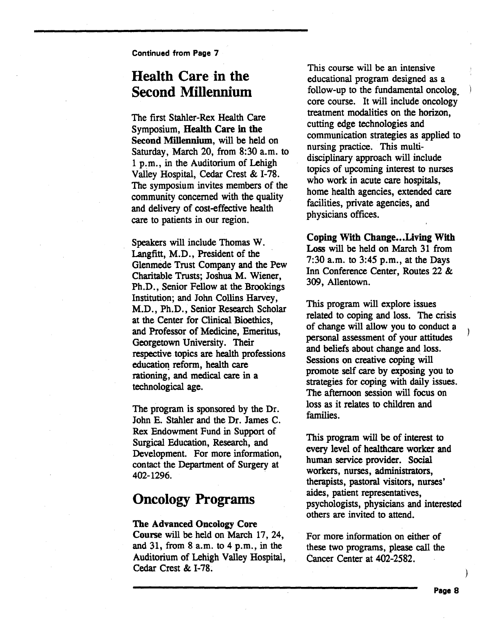## Health Care in the Second Millennium

The first Stabler-Rex Health Care Symposium, Health Care in the Second Millennium, will be held on Saturday, March 20, from 8:30 a.m. to 1 p.m., in the Auditorium of Lehigh Valley Hospital, Cedar Crest & I-78. The symposium invites members of the community concerned with the quality and delivery of cost-effective health care to patients in our region.

Speakers will include Thomas W. Langfitt, M.D., President of the Glenmede Trust Company and the Pew Charitable Trusts; Joshua M. Wiener Ph.D., Senior Fellow at the Brookings Institution; and John Collins Harvey, M.D., Ph.D., Senior Research Scholar at the Center for Clinical Bioethics,<br>and Professor of Medicine, Emeritus, Georgetown University. Their respective topics are health professions education reform, health care rationing, and medical care in a technological age.

The program is sponsored by the Dr. John E. Stahler and the Dr. James C. Rex Endowment Fund in Support of Surgical Education, Research, and<br>Development. For more information, contact the Department of Surgery at 402-1296. '

## Oncology Programs

#### The Advanced Oncology Core

Course will be held on March 17, 24, and 31, from 8 a.m. to 4 p.m., in the Auditorium of Lehigh Valley Hospital, Cedar Crest & I-78.

This course will be an intensive educational program designed as a follow-up to the fundamental oncolog\_ core course. It will include oncology treatment modalities on the horizon, cutting edge technologies and communication strategies as applied to nursing practice. This multidisciplinary approach will include topics of upcoming interest to nurses who work in acute care hospitals, home health agencies, extended care facilities, private agencies, and physicians offices.

Coping With Change...Living With Loss will be held on March 31 from  $7:30$  a.m. to  $3:45$  p.m., at the Days Inn Conference Center, Routes 22 & 309, Allentown.

This program will explore issues related to coping and loss. The crisis of change will allow you to conduct a personal assessment of your attitudes and beliefs about change and loss. Sessions on creative coping will promote self care by exposing you to strategies for coping with daily issues. The afternoon session will focus on loss as it relates to children and families.

This program will be of interest to every level of healthcare worker and human service provider. Social workers, nurses, administrators therapists, pastoral visitors, nurses' aides, patient representatives, psychologists, physicians and interested others are invited to attend.

For more information on either of these two programs, please call the Cancer Center at 402-2582.

)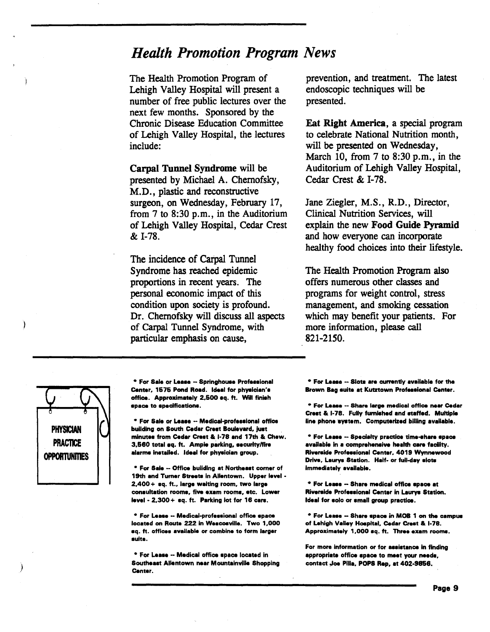## *Health Promotion Program News*

The Health Promotion Program of Lehigh Valley Hospital will present a number of free public lectures over the next few months. Sponsored by the Chronic Disease Education Committee of Lehigh Valley Hospital, the lectures include:

Carpal Tunnel Syndrome will be presented by Michael A. Chemofsky, M.D., plastic and reconstructive surgeon, on Wednesday, February 17, from 7 to 8:30 p.m., in the Auditorium of Lehigh Valley Hospital, Cedar Crest & I-78.

The incidence of Carpal Tunnel Syndrome has reached epidemic proportions in recent years. The personal economic impact of this condition upon society is profound. Dr. Chemofsky will discuss all aspects of Carpal Tunnel Syndrome, with particular emphasis on cause,

prevention, and treatment. The latest endoscopic techniques will be presented.

Eat Right America, a special program to celebrate National Nutrition month, will be presented on Wednesday, March 10, from  $7$  to  $8:30$  p.m., in the Auditorium of Lehigh Valley Hospital, Cedar Crest & I-78.

Jane Ziegler, M.S., R.D., Director, Clinical Nutrition Services, will explain the new Food Guide Pyramid and how everyone can incorporate healthy food choices into their lifestyle.

The Health Promotion Program also offers numerous other classes and programs for weight control, stress management, and smoking cessation which may benefit your patients. For more information, please call 821-2150.



)

\* For Sale or Lease -- Springhouse Professional Center, 1575 Pond Road. Ideal for physician's office. Approximately 2,500 aq. ft. Will finish apace to apeclflcatlona.

• For Sale or Leaae - Madical-profaaaional office building on South Cedar Crest Boulevard, just minutes from Cedar Crest & I-78 and 17th & Chew. 3,680 total aq. ft. Ample parking, aacurlty/fire alarms installed. Ideal for physician group.

• For Sale •• Office building at Northeaat corner of 19th and Turner Streets in Allentown. Upper level -2,400 + aq. ft., large welting room, two large consultation rooms, five exam rooms, etc. Lower laval· 2.300+ aq. ft. Parking lot for 16 care.

\* For Lease -- Medical-professional office space located on Route 222 in Weacoavilla. Two 1,000 aq. ft. officaa available or combine to form larger aulta.

• For Leaaa •• Medical office apace located In Southeaat Allentown near Mountainville Shopping Canter.

• For Leaae - Slote are currently available for the Brown Bag suite at Kutztown Professional Center.

• For Leaae •• Share large medical office near Cedar Crest & I-78. Fully furnished and staffed. Multiple line phone system. Computerized billing available.

• For Leaaa - Specialty practice time-ahara apace available in a comprehensive health care facility. Riverside Professional Center. 4019 Wynnewood Drive, Laurys Station. Half- or full-day slots Immediately available.

\* For Lease -- Share medical office space at Riverside Professional Center in Laurys Station. Ideal for solo or small group practice.

• For Leaae - Share apace in MOB 1 on the campua of Lehigh Valley Hospital, Cedar Crest & I-78. Approximately 1,000 aq. ft. Three exam rooma.

For more information or for assistance in finding appropriate office apace to meat your naada, contact Joe Pilla, POPS Rep, at 402-9856.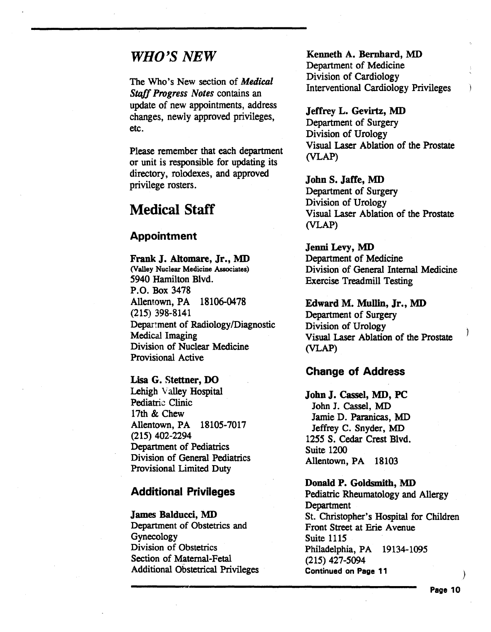## *WHO'S NEW*

The Who's New section of *Medical Stoff Progress Notes* contains an update of new appointments, address changes, newly approved privileges, etc.

Please remember that each department or unit is responsible for updating its directory, rolodexes, and approved privilege rosters.

## Medical Staff

#### Appointment

Frank J. Altomare, Jr., MD (Valley Nuclear Medicine Associates) 5940 Hamilton Blvd. P.O. Box 3478 Allentown, PA 18106-0478 (215) 398-8141 Department of Radiology/Diagnostic Medical Imaging Division of Nuclear Medicine Provisional Active

Lisa G. Stettner, DO Lehigh Valley Hospital Pediatric Clinic 17th & Chew Allentown, PA 18105-7017 (215) 402-2294 Department of Pediatrics Division of General Pediatrics Provisional Limited Duty

#### Additional Privileges

James Balducci, MD Department of Obstetrics and Gynecology Division of Obstetrics Section of Maternal-Fetal Additional Obstetrical Privileges

Kenneth A. Bernhard, MD Department of Medicine Division of Cardiology Interventional Cardiology Privileges

Jeffrey L. Gevirtz, MD Department of Surgery Division of Urology Visual Laser Ablation of the Prostate (VLAP)

#### JohnS. Jaffe, MD

Department of Surgery Division of Urology Visual Laser Ablation of the Prostate (VLAP)

Jenni Levy, MD Department of Medicine Division of General Internal Medicine Exercise Treadmill Testing

Edward M. Mullin, Jr., MD Department of Surgery Division of Urology Visual Laser Ablation of the Prostate (VLAP)

#### Change of Address

John J. Cassel, MD, PC John J. Cassel, MD Jamie D. Paranicas, MD Jeffrey C. Snyder, MD 1255 S. Cedar Crest Blvd. Suite 1200 Allentown, PA 18103

Donald P. Goldsmith, MD Pediatric Rheumatology and Allergy Department St. Christopher's Hospital for Children Front Street at Erie Avenue Suite 1115 Philadelphia, PA 19134-1095 (215) 427-5094 Continued on Page 11 *)* 

Ì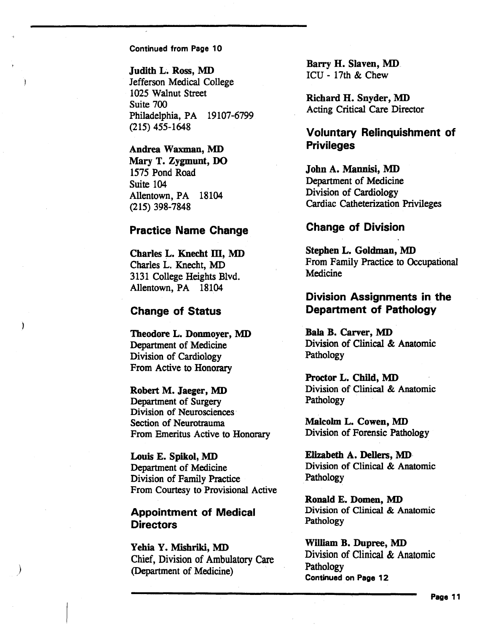Judith L. Ross, MD Jefferson Medical College 1025 Walnut Street Suite 700 Philadelphia, PA 19107-6799 (215) 455-1648

Andrea Waxman, MD Mary T. Zygmunt, DO 1575 Pond Road Suite 104 Allentown, PA 18104 (215) 398-7848

#### Practice Name Change

Charles L. Knecht III, MD Charles L. Knecht, MD 3131 College Heights Blvd. Allentown, PA 18104

#### Change of Status

Theodore L. Donmoyer, MD Department of Medicine Division of Cardiology From Active to Honorary

Robert M. Jaeger, MD Department of Surgery Division of Neurosciences· Section of Neurotrauma From Emeritus Active to Honorary

Louis E. Spikol, MD Department of Medicine Division of Family Practice From Courtesy to Provisional Active

#### Appointment of Medical **Directors**

)

Yehia Y. Mishriki, MD Chief, Division of Ambulatory Care (Department of Medicine)

Barry H. Slaven, MD. ICU - 17th & Chew

Richard H. Snyder, MD Acting Critical Care Director

## Voluntary Relinquishment of **Privileges**

John A. Mannisi, MD Department of Medicine Division of Cardiology Cardiac Catheterization Privileges

#### Change of Division

Stephen L. Goldman, MD From Family Practice to Occupational **Medicine** 

#### Division Assignments in the Department of Pathology

Bala B. Carver, MD Division of Clinical & Anatomic Pathology

Proctor L. Child, MD Division of Clinical & Anatomic Pathology

Malcolm L. Cowen, MD Division of Forensic Pathology

Elizabeth A. Dellers, MD Division of Clinical & Anatomic Pathology

Ronald E. Domen, MD Division of Clinical & Anatomic Pathology

William B. Dupree, MD Division of Clinical & Anatomic Pathology Continued on Page 12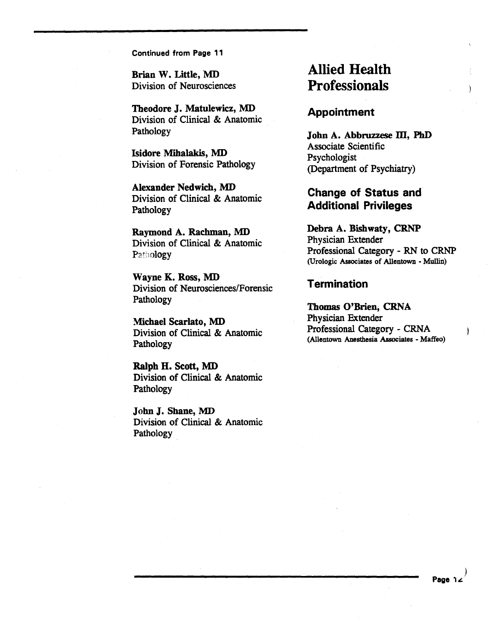Brian W. Little, MD Division of Neurosciences

Theodore J. Matulewicz, MD Division of Clinical & Anatomic Pathology

Isidore Mihalakis, MD Division of Forensic Pathology

Alexander Nedwich, MD Division of Clinical & Anatomic Pathology

Raymond A. Rachman, MD Division of Clinical & Anatomic Pathology

Wayne K. Ross, MD Division of Neurosciences/Forensic Pathology

Michael Scarlato, MD Division of Clinical & Anatomic Pathology

Ralph H. Scott, MD Division of Clinical & Anatomic Pathology

John J. Shane, MD Division of Clinical & Anatomic Pathology.

# Allied Health **Professionals**

#### Appointment

John A. Abbruzzese III, PhD Associate Scientific Psychologist (Department of Psychiatry)

## Change of Status and Additional Privileges

Debra A. Bishwaty, CRNP Physician Extender Professional Category - RN to CRNP (Urologic Associates of Allentown - Mullin)

#### **Termination**

Thomas O'Brien, CRNA Physician Extender Professional Category- CRNA (Allentown Anesthesia Associates- Maffeo)

)

 $\mathbf{)}$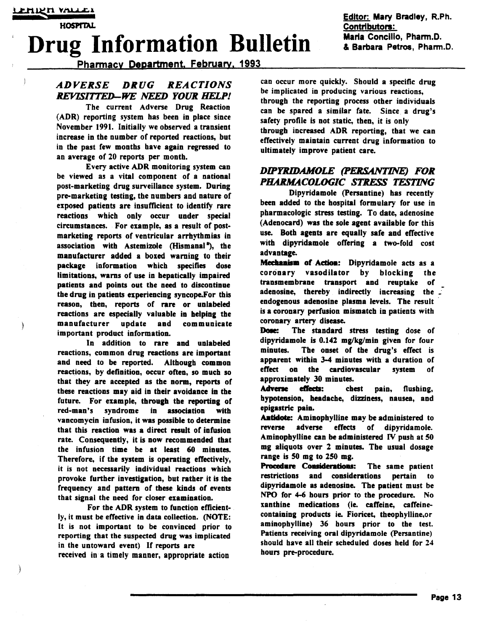€

**HOSPITAL** 

# Drug Information Bulletin **Maria Concillo, Pharm.D.**

Pharmacv Department. Februarv. 1993

#### *ADVERSE DRUG REACTIONS REVISITIED-WE NEED YOUR HELP!*

The current Adverse Drug Reaction (ADR) reporting system has been in place since November 1991. Initially we observed a transient increase in the number of reported reactions, but in the past few months have again regressed to an average of 20 reports per month.

Every active ADR monitoring system can be viewed as a vital component of a national post-marketing drug surveillance system. During pre-marketing testing, the numbers and nature of exposed patients are insufficient to identify rare reactions which only occur under special circumstances. For example, as a result of postmarketiog reports of veotricular arrhythmias in association with Astemizole (Hismanal<sup>a</sup>), the manufacturer added a boxed warning to their package information which specifies dose limitations, warns of use in hepatically impaired patients and points out the need to discontinue the drug in patients experiencing syncope.For this reason, then, reports of rare or unlabeled reactions are especially valuable in helping the<br>manufacturer update and communicate manufacturer update and important product information.

In addition to rare and unlabeled reactions, common drug reactions are important and need to be reported. Although common reactions, by definition, occur often, so much so that they are accepted as the norm, reports of these reactions may aid in their avoidance in the future. For example, through the reporting of red-man's syndrome in association with vancomycin infusion, it was possible to determine that this reaction was a direct result of infusion rate. Consequently, it is now recommended that the infusion time be at least 60 minutes. Therefore, if the system is operating effectively, it is not necessarily individual reactions which provoke further investigation, but rather it is the frequency and pattern of these kinds of events that signal the need for closer examination.

For the ADR system to function efficiently, it must be effective in data collection. (NOTE: It is not important to be convinced prior to reporting that the suspected drug was implicated in the untoward event) If reports are received in a timely manner, appropriate action

can occur more quickly. Should a specific drug be implicated in producing various reactions, through the reporting process other individuals can be spared a similar fate. Since a drug's safety profile is not static, then, it is only through increased ADR reporting, that we can effectively maintain current drug information to ultimately improve patient care.

#### *DIPYRIDAMOLE (PERSANTINE) FOR*  **PHARMACOLOGIC STRESS TESTING**

Dipyridamole (Persantine) has recently been added to the hospital formulary for use in pharmacologic stress testing. To date, adenosine (Adenocard) was the sole agent available for this use. Both agents are equally safe and effective with dipyridamole offering a two-fold cost advantage.

**Mechanism of Action:** Dipyridamole acts as a<br>coronary vasodilator by blocking the coronary vasodilator by blocking the transmembrane transport and reuptake of adenosine, thereby indirectly increasing the endogenous adenosine plasma levels. The result is a coronary perfusion mismatch in patients with coronary artery disease.

Dose: The standard stress testing dose of dipyridamole is  $0.142$  mg/kg/min given for four minutes. The onset of the drug's effect is apparent within 3-4 minutes with a duration of effect on the cardiovascular system of approximately 30 minutes.

Adverse effects: chest pain, flushing, hypoteosion, headache, dizziness, nausea, and epigastric pain.

Antidote: Aminophylline may be administered to reverse adverse effects of dipyridamole. Aminophylline can be administered IV push at SO mg aliquots over 2 minutes. The usual dosage range is SO mg to 250 mg.

Procedure Considerations: The same patient restrictions and considerations pertain to dipyridamole as adenosine. The patient must be NPO for 4-6 hours prior to the procedure. No xanthine medications (ie. caffeine, caffeinecontaining products ie. Fioricet, theophylline,or aminophylline) 36 hours prior to the test. Patients receiving oral dipyridamole (Persantine) should have all their scheduled doses held for 24 hours pre-procedure.

Editor: Mary Bradley, R.Ph. <u>Contributors:</u><br>Maria Concilio, Pharm.D.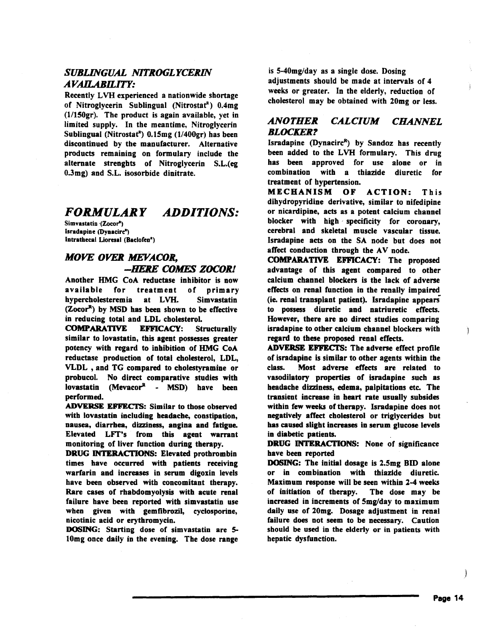#### *SUBLINGUAL NITROGLYCERIN AV AILABH.JTY:*

Recently LVH experienced a nationwide shortage of Nitroglycerin Sublingual (Nitrostaf') 0.4mg (1/lSOgr). The product is again available, yet in limited supply. In the meantime, Nitroglycerin Sublingual (Nitrostat<sup>R</sup>)  $0.15mg(1/400gr)$  has been discontinued by the manufacturer. Alternative products remaining on formulary include the alternate strenghts of Nitroglycerin S.L.(eg 0.3mg) and S.L. isosorbide dinitrate.

#### *FORMULARY ADDITIONS:*

Simvastatin (Zocor<sup>a</sup>) lsradapioe (Dyaacirc") latratbecal Lioresal (Baclofea•)

## *MOVE OVER MEVACOR, -HERE COMES ZOCOR!*

Another HMG CoA reductase inhibitor is now available for treatment of primary hypercholesteremia at LVH. Simvastatin (Zocor<sup>R</sup>) by MSD has been shown to be effective in reducing total and LDL cholesterol.

COMPARATIVE EFFICACY: Structurally similar to lovastatin, this agent possesses greater potency with regard to inhibition of HMG CoA reductase production of total cholesterol, LDL, VLDL , and TG compared to cholestyramine or probucol. No direct comparative studies with lovastatin (Mevacor $R - MSD$ ) have been performed.

ADVERSE EFFECTS: Similar to those observed with lovastatin including headache, constipation, nausea, diarrhea, dizziness, angina and fatigue. Elevated LFf's from this agent warrant monitoring of liver function during therapy.

DRUG INTERACTIONS: Elevated prothrombin times have occurred with patients receiving warfarin and increases in serum digoxin levels have been observed with concomitant therapy. Rare cases of rhabdomyolysis with acute renal failure have been reported with simvastatin use when given with gemfibrozil, cyclosporine, nicotinic acid or erythromycin.

DOSING: Starting dose of simvastatin are 5 lOmg once daily in the evening. The dose range

is  $5-40$ mg/day as a single dose. Dosing adjustments should be made at intervals of 4 weeks or greater. In the elderly, reduction of cholesterol may be obtained with 20mg or less.

#### *ANOTHER CALCIUM CHANNEL BLOCKER?*

Isradapine (Dynacirc $R$ ) by Sandoz has recently been added to the LVH formulary. This drug has been approved for use alone or in combination with a thiazide diuretic for treatment of hypertension.

MECHANISM OF ACTION: This dihydropyridine derivative, similar to nifedipine or nicardipine, acts as a potent calcium channel blocker with high specificity for coronary, cerebral and skeletal muscle vascular tissue. Isradapine acts on the SA node but does not affect conduction through the  $AV$  node.

COMPARATIVE EFFICACY: The proposed advantage of this agent compared to other calcium channel blockers is the lack of adverse effects on renal function in the renally impaired (ie. renal transplant patient). Isradapine appears to possess diuretic and natriuretic effects. However, there are no direct studies comparing isradapine to other calcium channel blockers with regard to these proposed renal effects.

ADVERSE EFFECTS: The adverse effect profile of isradapine is similar to other agents within the class. Most adverse effects are related to vasodilatory properties of isradapine such as headache dizziness, edema, palpitations etc. The transient increase in heart rate usually subsides within few weeks of therapy. lsradapine does not negatively affect cholesterol or triglycerides but has caused slight increases in serum glucose levels in diabetic patients.

DRUG INTERACTIONS: None of significance have been reported

**DOSING:** The initial dosage is 2.5mg BID alone or in combination with thiazide diuretic. Maximum response will be seen within 2-4 weeks of initiation of therapy. The dose may be increased in increments of Smg/day to maximum daily use of 20mg. Dosage adjustment in renal failure does not seem to be necessary. Caution should be used in the elderly or in patients with hepatic dysfunction.

1

È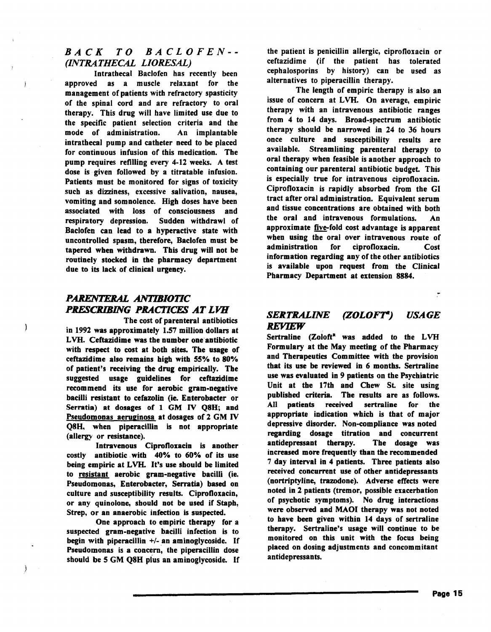#### *BACK TO BACLOFEN-- (INTRATHECAL LIORESAL)*

Intrathecal Baclofen has recently been approved as a muscle relaxant for the management of patients with refractory spasticity of the spinal cord and are refractory to oral therapy. This drug will have limited use due to the specific patient selection criteria and the mode of administration. An implantable intrathecal pump and catheter need to be placed for continuous infusion of this medication. The pump requires refilling every 4-12 weeks. A test dose is given followed by a titratable infusion. Patients must be monitored for signs of toxicity such as dizziness, excessive salivation, nausea, vomiting and somnolence. High doses have been associated with loss of consciousness and respiratory depression. Sudden withdraw) of Baclofen can lead to a hyperactive state with uncontrolled spasm, therefore, Baclofen must be tapered when withdrawn. This drug will not be routinely stocked in the pharmacy department due to its lack of clinical urgency.

### *PARENTERAL ANTIBIOTIC PRESCRIBING PRACTICES AT LVH*

Ì

The cost of parenteral antibiotics in 1992 was approximately 1.57 million dollars at L VH. Ceftazidime was the number one antibiotic with respect to cost at both sites. The usage of ceftazidime also remains high with 55% to 80% of patient's receiving the drug empirically. The suggested usage guidelines for ceftazidime recommend its use for aerobic gram-negative bacilli resistant to cefazolin (ie. Enterobacter or Serratia) at dosages of 1 GM IV Q8H; and Pseudomonas aeruginosa at dosages of 2 GM IV Q8H, when piperacillin is not appropriate (allergy or resistance).

Intravenous Ciprofloxacin is another costly antibiotic . with 40% to 60% of its use being empiric at LVH. It's use should be limited to resistant aerobic gram-negative bacilli (ie. Pseudomonas, Enterobacter, Serratia) based on culture and susceptibility results. Ciprofloxacin, or any quinolone, should not be used if Staph, Strep, or an anaerobic infection is suspected.

One approach to empiric therapy for a suspected gram-negative bacilli infection is to begin with piperacillin +/- an aminoglycoside. If Pseudomonas is a concern; the piperacillin dose should be S GM Q8H plus an aminoglycoside. If

the patient is penicillin allergic, ciprofloxacin or ceftazidime (if the patient has tolerated cephalosporins by history) can be used as alternatives to piperacillin therapy.

The length of empiric therapy is also an issue of concern at LVH. On average, empiric therapy with an intravenous antibiotic ranges from 4 to 14 days. Broad-spectrum antibiotic therapy should be narrowed in *24* to 36 hours once culture and susceptibility results are available. Streamlining parenteral therapy to oral therapy when feasible is another approach to containing our parenteral antibiotic budget. This is especially true for intravenous ciprofloxacin. Ciprofloxacin is rapidly absorbed from the GI tract after oral administration. Equivalent serum and tissue concentrations are obtained with both the oral and intravenous formulations. An approximate five-fold cost advantage is apparent when using the oral over intravenous route of administration for ciprofloxacin. Cost information regarding any of the other antibiotics is available upon request from the Clinical Pharmacy Department at extension 8884.

#### *SERTRALINE (ZOLOF'r) USAGE*  REYlEW

Sertraline (Zoloft<sup>k</sup> was added to the LVH Formulary at the May meeting of the Pharmacy and Therapeutics Committee with the provision that its use be reviewed in 6 months. Sertraline use was evaluated in 9 patients on the Psychiatric Unit at the 17th and Chew St. site using published criteria. The results are as follows. All patients received sertraline for the appropriate indication which is that of major depressive disorder. Non-compliance was noted regarding dosage titration and concurrent antidepressant therapy. The dosage was increased more frequently than the recommended 7 day interval in 4 patients. Three patients also received concurrent use of other antidepressants (nortriptyline, trazodone). Adverse effects were noted in 2 patients (tremor, possible exacerbation of psychotic symptoms). No drug interactions were observed and MAOI therapy was not noted to have been given within 14 days of sertraline therapy. Sertraline's usage will continue to be monitored on this unit with the focus being placed on dosing adjustments and concommitant antidepressants.

 $\ddot{.}$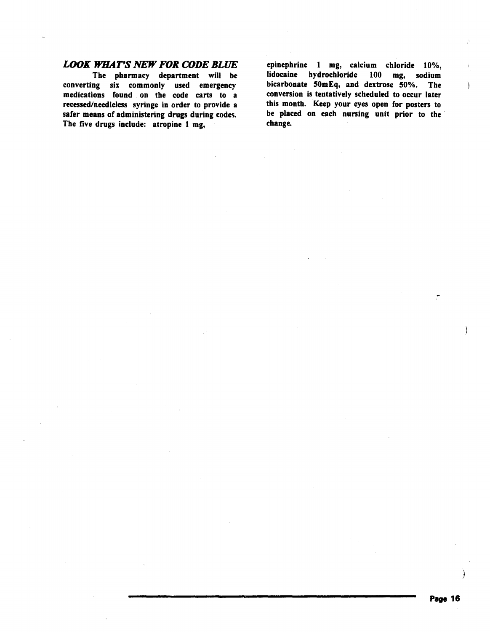#### *LOOK WHAT'S NEW FOR CODE BLUE*

The pharmacy department will be converting six commonly used emergency medications found on the code carts to a recessed/needleless syringe in order to provide a safer means of administering drugs during codes. The five drugs include: atropine 1 mg,

epinephrine 1 mg, calcium chloride 10%,<br>lidocaine hydrochloride 100 mg, sodium lidocaine hydrochloride bicarbonate 50mEq, and dextrose 50%. The conversion is tentatively scheduled to occur later this month. Keep your eyes open for posters to be placed on each nursing unit prior to the ' change.

ì